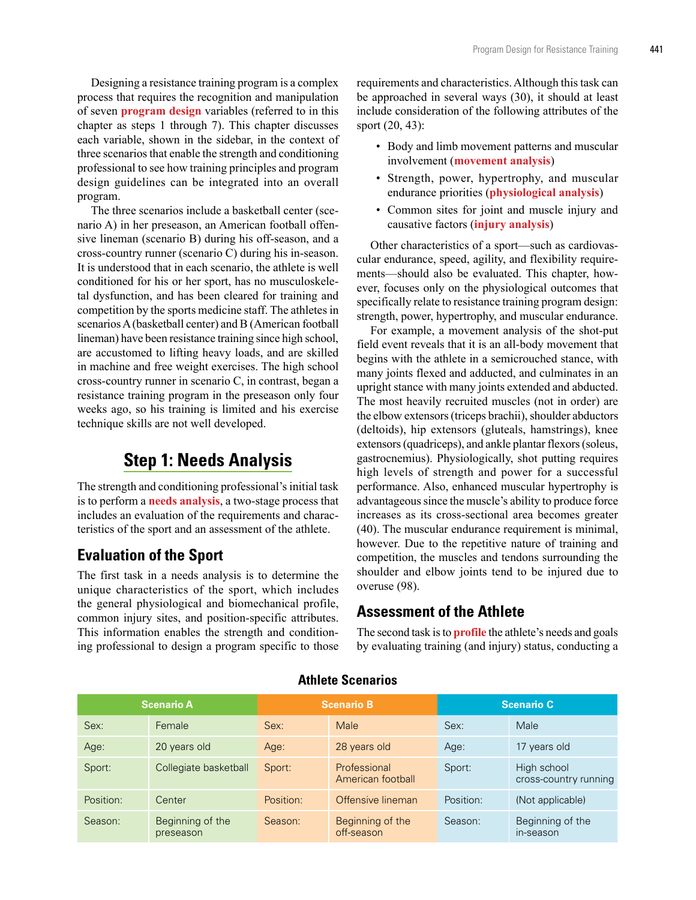Designing a resistance training program is a complex process that requires the recognition and manipulation of seven **program design** variables (referred to in this chapter as steps 1 through 7). This chapter discusses each variable, shown in the sidebar, in the context of three scenarios that enable the strength and conditioning professional to see how training principles and program design guidelines can be integrated into an overall program.

The three scenarios include a basketball center (scenario A) in her preseason, an American football offensive lineman (scenario B) during his off-season, and a cross-country runner (scenario C) during his in-season. It is understood that in each scenario, the athlete is well conditioned for his or her sport, has no musculoskeletal dysfunction, and has been cleared for training and competition by the sports medicine staff. The athletes in scenarios A (basketball center) and B (American football lineman) have been resistance training since high school, are accustomed to lifting heavy loads, and are skilled in machine and free weight exercises. The high school cross-country runner in scenario C, in contrast, began a resistance training program in the preseason only four weeks ago, so his training is limited and his exercise technique skills are not well developed.

# **Step 1: Needs Analysis**

The strength and conditioning professional's initial task is to perform a **needs analysis**, a two-stage process that includes an evaluation of the requirements and characteristics of the sport and an assessment of the athlete.

## **Evaluation of the Sport**

The first task in a needs analysis is to determine the unique characteristics of the sport, which includes the general physiological and biomechanical profile, common injury sites, and position-specific attributes. This information enables the strength and conditioning professional to design a program specific to those requirements and characteristics. Although this task can be approached in several ways (30), it should at least include consideration of the following attributes of the sport (20, 43):

- Body and limb movement patterns and muscular involvement (**movement analysis**)
- Strength, power, hypertrophy, and muscular endurance priorities (**physiological analysis**)
- Common sites for joint and muscle injury and causative factors (**injury analysis**)

Other characteristics of a sport—such as cardiovascular endurance, speed, agility, and flexibility requirements—should also be evaluated. This chapter, however, focuses only on the physiological outcomes that specifically relate to resistance training program design: strength, power, hypertrophy, and muscular endurance.

For example, a movement analysis of the shot-put field event reveals that it is an all-body movement that begins with the athlete in a semicrouched stance, with many joints flexed and adducted, and culminates in an upright stance with many joints extended and abducted. The most heavily recruited muscles (not in order) are the elbow extensors (triceps brachii), shoulder abductors (deltoids), hip extensors (gluteals, hamstrings), knee extensors (quadriceps), and ankle plantar flexors (soleus, gastrocnemius). Physiologically, shot putting requires high levels of strength and power for a successful performance. Also, enhanced muscular hypertrophy is advantageous since the muscle's ability to produce force increases as its cross-sectional area becomes greater (40). The muscular endurance requirement is minimal, however. Due to the repetitive nature of training and competition, the muscles and tendons surrounding the shoulder and elbow joints tend to be injured due to overuse (98).

## **Assessment of the Athlete**

The second task is to **profile** the athlete's needs and goals by evaluating training (and injury) status, conducting a

| <b>Scenario A</b> |                               | <b>Scenario B</b> |                                   | <b>Scenario C</b> |                                      |
|-------------------|-------------------------------|-------------------|-----------------------------------|-------------------|--------------------------------------|
| Sex:              | Female                        | Sex:              | Male                              | Sex:              | Male                                 |
| Age:              | 20 years old                  | Age:              | 28 years old                      | Age:              | 17 years old                         |
| Sport:            | Collegiate basketball         | Sport:            | Professional<br>American football | Sport:            | High school<br>cross-country running |
| Position:         | Center                        | Position:         | Offensive lineman                 | Position:         | (Not applicable)                     |
| Season:           | Beginning of the<br>preseason | Season:           | Beginning of the<br>off-season    | Season:           | Beginning of the<br>in-season        |

### **Athlete Scenarios**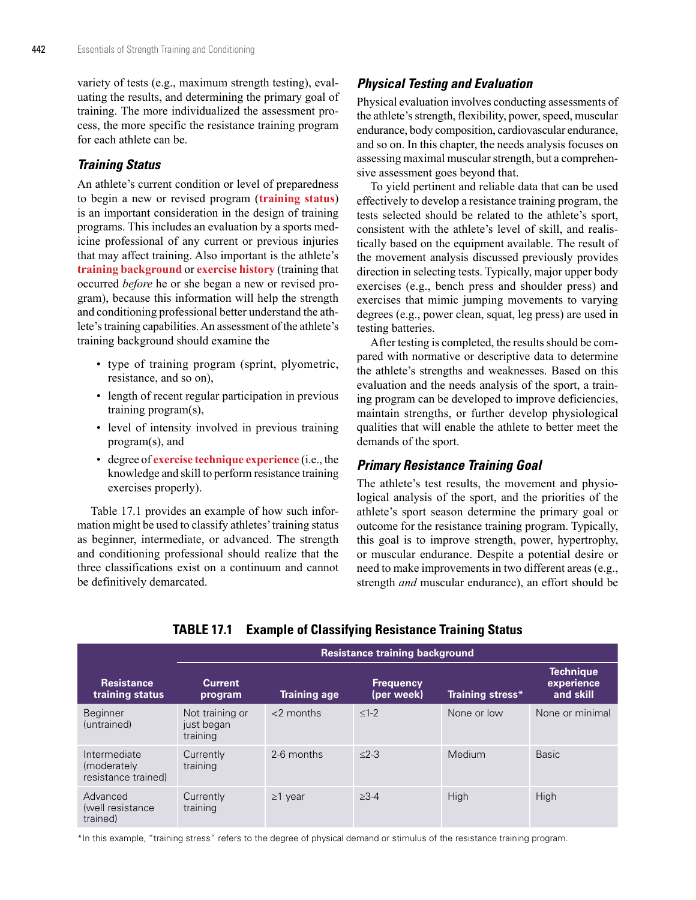variety of tests (e.g., maximum strength testing), evaluating the results, and determining the primary goal of training. The more individualized the assessment process, the more specific the resistance training program for each athlete can be.

### *Training Status*

An athlete's current condition or level of preparedness to begin a new or revised program (**training status**) is an important consideration in the design of training programs. This includes an evaluation by a sports medicine professional of any current or previous injuries that may affect training. Also important is the athlete's **training background** or **exercise history** (training that occurred *before* he or she began a new or revised program), because this information will help the strength and conditioning professional better understand the athlete's training capabilities. An assessment of the athlete's training background should examine the

- type of training program (sprint, plyometric, resistance, and so on),
- length of recent regular participation in previous training program(s),
- level of intensity involved in previous training program(s), and
- degree of **exercise technique experience** (i.e., the knowledge and skill to perform resistance training exercises properly).

Table 17.1 provides an example of how such information might be used to classify athletes' training status as beginner, intermediate, or advanced. The strength and conditioning professional should realize that the three classifications exist on a continuum and cannot be definitively demarcated.

### *Physical Testing and Evaluation*

Physical evaluation involves conducting assessments of the athlete's strength, flexibility, power, speed, muscular endurance, body composition, cardiovascular endurance, and so on. In this chapter, the needs analysis focuses on assessing maximal muscular strength, but a comprehensive assessment goes beyond that.

To yield pertinent and reliable data that can be used effectively to develop a resistance training program, the tests selected should be related to the athlete's sport, consistent with the athlete's level of skill, and realistically based on the equipment available. The result of the movement analysis discussed previously provides direction in selecting tests. Typically, major upper body exercises (e.g., bench press and shoulder press) and exercises that mimic jumping movements to varying degrees (e.g., power clean, squat, leg press) are used in testing batteries.

After testing is completed, the results should be compared with normative or descriptive data to determine the athlete's strengths and weaknesses. Based on this evaluation and the needs analysis of the sport, a training program can be developed to improve deficiencies, maintain strengths, or further develop physiological qualities that will enable the athlete to better meet the demands of the sport.

### *Primary Resistance Training Goal*

The athlete's test results, the movement and physiological analysis of the sport, and the priorities of the athlete's sport season determine the primary goal or outcome for the resistance training program. Typically, this goal is to improve strength, power, hypertrophy, or muscular endurance. Despite a potential desire or need to make improvements in two different areas (e.g., strength *and* muscular endurance), an effort should be

|                                                    | <b>Resistance training background</b>     |                     |                                |                  |                                             |  |
|----------------------------------------------------|-------------------------------------------|---------------------|--------------------------------|------------------|---------------------------------------------|--|
| <b>Resistance</b><br>training status               | <b>Current</b><br>program                 | <b>Training age</b> | <b>Frequency</b><br>(per week) | Training stress* | <b>Technique</b><br>experience<br>and skill |  |
| Beginner<br>(untrained)                            | Not training or<br>just began<br>training | $<$ 2 months        | $\leq$ 1-2                     | None or low      | None or minimal                             |  |
| Intermediate<br>(moderately<br>resistance trained) | Currently<br>training                     | 2-6 months          | $\leq$ 2-3                     | Medium           | <b>Basic</b>                                |  |
| Advanced<br>(well resistance)<br>trained)          | Currently<br>training                     | $\geq$ 1 year       | $\geq 3-4$                     | High             | High                                        |  |

#### **TABLE 17.1 Example of Classifying Resistance Training Status**

\*In this example, "training stress" refers to the degree of physical demand or stimulus of the resistance training program.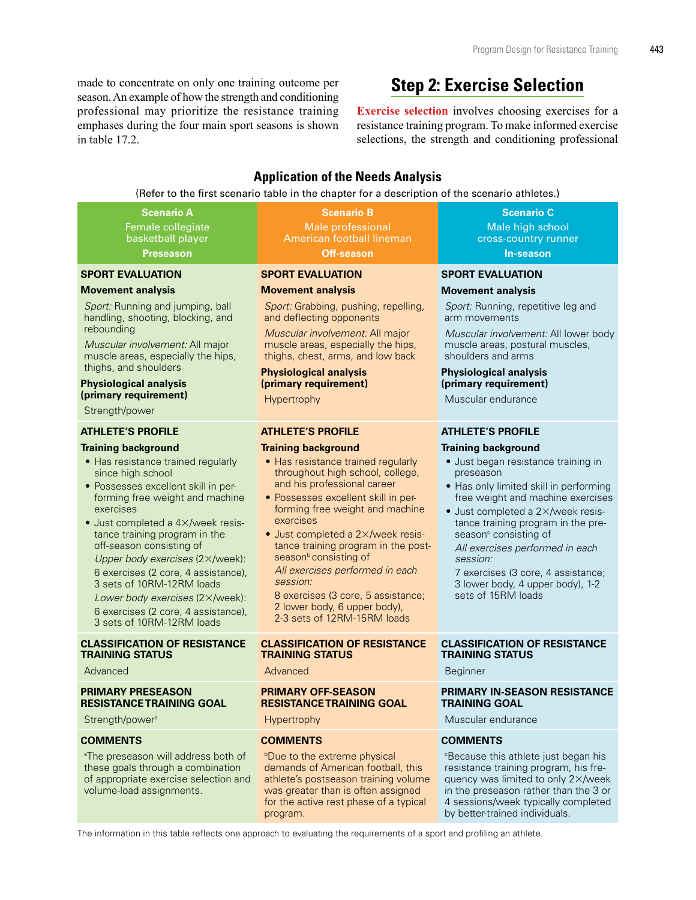made to concentrate on only one training outcome per season. An example of how the strength and conditioning professional may prioritize the resistance training emphases during the four main sport seasons is shown in table 17.2.

# **Step 2: Exercise Selection**

**Exercise selection** involves choosing exercises for a resistance training program. To make informed exercise selections, the strength and conditioning professional

4 sessions/week typically completed

by better-trained individuals.

### **Application of the Needs Analysis**

(Refer to the first scenario table in the chapter for a description of the scenario athletes.)

| <b>Scenario A</b>                                                                                                                                                                                                                                                                                                                                                                                                                                                                           | <b>Scenario B</b>                                                                                                                                                                                                                                                                                                                                                                                                                                                                               | <b>Scenario C</b>                                                                                                                                                                                                                                                                                                                                                                                                            |  |
|---------------------------------------------------------------------------------------------------------------------------------------------------------------------------------------------------------------------------------------------------------------------------------------------------------------------------------------------------------------------------------------------------------------------------------------------------------------------------------------------|-------------------------------------------------------------------------------------------------------------------------------------------------------------------------------------------------------------------------------------------------------------------------------------------------------------------------------------------------------------------------------------------------------------------------------------------------------------------------------------------------|------------------------------------------------------------------------------------------------------------------------------------------------------------------------------------------------------------------------------------------------------------------------------------------------------------------------------------------------------------------------------------------------------------------------------|--|
| Female collegiate                                                                                                                                                                                                                                                                                                                                                                                                                                                                           | Male professional                                                                                                                                                                                                                                                                                                                                                                                                                                                                               | Male high school                                                                                                                                                                                                                                                                                                                                                                                                             |  |
| basketball player                                                                                                                                                                                                                                                                                                                                                                                                                                                                           | American football lineman                                                                                                                                                                                                                                                                                                                                                                                                                                                                       | cross-country runner                                                                                                                                                                                                                                                                                                                                                                                                         |  |
| <b>Preseason</b>                                                                                                                                                                                                                                                                                                                                                                                                                                                                            | <b>Off-season</b>                                                                                                                                                                                                                                                                                                                                                                                                                                                                               | In-season                                                                                                                                                                                                                                                                                                                                                                                                                    |  |
| <b>SPORT EVALUATION</b>                                                                                                                                                                                                                                                                                                                                                                                                                                                                     | <b>SPORT EVALUATION</b>                                                                                                                                                                                                                                                                                                                                                                                                                                                                         | <b>SPORT EVALUATION</b>                                                                                                                                                                                                                                                                                                                                                                                                      |  |
| <b>Movement analysis</b>                                                                                                                                                                                                                                                                                                                                                                                                                                                                    | <b>Movement analysis</b>                                                                                                                                                                                                                                                                                                                                                                                                                                                                        | <b>Movement analysis</b>                                                                                                                                                                                                                                                                                                                                                                                                     |  |
| Sport: Running and jumping, ball<br>handling, shooting, blocking, and                                                                                                                                                                                                                                                                                                                                                                                                                       | Sport: Grabbing, pushing, repelling,<br>and deflecting opponents                                                                                                                                                                                                                                                                                                                                                                                                                                | Sport: Running, repetitive leg and<br>arm movements                                                                                                                                                                                                                                                                                                                                                                          |  |
| rebounding<br>Muscular involvement: All major<br>muscle areas, especially the hips,                                                                                                                                                                                                                                                                                                                                                                                                         | Muscular involvement: All major<br>muscle areas, especially the hips,<br>thighs, chest, arms, and low back                                                                                                                                                                                                                                                                                                                                                                                      | Muscular involvement: All lower body<br>muscle areas, postural muscles,<br>shoulders and arms                                                                                                                                                                                                                                                                                                                                |  |
| thighs, and shoulders                                                                                                                                                                                                                                                                                                                                                                                                                                                                       | <b>Physiological analysis</b>                                                                                                                                                                                                                                                                                                                                                                                                                                                                   | <b>Physiological analysis</b>                                                                                                                                                                                                                                                                                                                                                                                                |  |
| <b>Physiological analysis</b>                                                                                                                                                                                                                                                                                                                                                                                                                                                               | (primary requirement)                                                                                                                                                                                                                                                                                                                                                                                                                                                                           | (primary requirement)                                                                                                                                                                                                                                                                                                                                                                                                        |  |
| (primary requirement)<br>Strength/power                                                                                                                                                                                                                                                                                                                                                                                                                                                     | Hypertrophy                                                                                                                                                                                                                                                                                                                                                                                                                                                                                     | Muscular endurance                                                                                                                                                                                                                                                                                                                                                                                                           |  |
|                                                                                                                                                                                                                                                                                                                                                                                                                                                                                             |                                                                                                                                                                                                                                                                                                                                                                                                                                                                                                 |                                                                                                                                                                                                                                                                                                                                                                                                                              |  |
| <b>ATHLETE'S PROFILE</b>                                                                                                                                                                                                                                                                                                                                                                                                                                                                    | <b>ATHLETE'S PROFILE</b>                                                                                                                                                                                                                                                                                                                                                                                                                                                                        | <b>ATHLETE'S PROFILE</b>                                                                                                                                                                                                                                                                                                                                                                                                     |  |
| <b>Training background</b><br>· Has resistance trained regularly<br>since high school<br>• Possesses excellent skill in per-<br>forming free weight and machine<br>exercises<br>• Just completed a 4×/week resis-<br>tance training program in the<br>off-season consisting of<br>Upper body exercises (2×/week):<br>6 exercises (2 core, 4 assistance),<br>3 sets of 10RM-12RM loads<br>Lower body exercises (2×/week)<br>6 exercises (2 core, 4 assistance),<br>3 sets of 10RM-12RM loads | <b>Training background</b><br>• Has resistance trained regularly<br>throughout high school, college,<br>and his professional career<br>· Possesses excellent skill in per-<br>forming free weight and machine<br>exercises<br>· Just completed a 2×/week resis-<br>tance training program in the post-<br>season <sup>b</sup> consisting of<br>All exercises performed in each<br>session:<br>8 exercises (3 core, 5 assistance;<br>2 lower body, 6 upper body),<br>2-3 sets of 12RM-15RM loads | <b>Training background</b><br>· Just began resistance training in<br>preseason<br>• Has only limited skill in performing<br>free weight and machine exercises<br>· Just completed a 2×/week resis-<br>tance training program in the pre-<br>season <sup>c</sup> consisting of<br>All exercises performed in each<br>session:<br>7 exercises (3 core, 4 assistance;<br>3 lower body, 4 upper body), 1-2<br>sets of 15RM loads |  |
| <b>CLASSIFICATION OF RESISTANCE</b><br><b>TRAINING STATUS</b>                                                                                                                                                                                                                                                                                                                                                                                                                               | <b>CLASSIFICATION OF RESISTANCE</b><br><b>TRAINING STATUS</b>                                                                                                                                                                                                                                                                                                                                                                                                                                   | <b>CLASSIFICATION OF RESISTANCE</b><br><b>TRAINING STATUS</b>                                                                                                                                                                                                                                                                                                                                                                |  |
| Advanced                                                                                                                                                                                                                                                                                                                                                                                                                                                                                    | Advanced                                                                                                                                                                                                                                                                                                                                                                                                                                                                                        | Beginner                                                                                                                                                                                                                                                                                                                                                                                                                     |  |
| <b>PRIMARY PRESEASON</b><br><b>RESISTANCE TRAINING GOAL</b>                                                                                                                                                                                                                                                                                                                                                                                                                                 | <b>PRIMARY OFF-SEASON</b><br><b>RESISTANCE TRAINING GOAL</b>                                                                                                                                                                                                                                                                                                                                                                                                                                    | <b>PRIMARY IN-SEASON RESISTANCE</b><br><b>TRAINING GOAL</b>                                                                                                                                                                                                                                                                                                                                                                  |  |
| Strength/power <sup>a</sup>                                                                                                                                                                                                                                                                                                                                                                                                                                                                 | Hypertrophy                                                                                                                                                                                                                                                                                                                                                                                                                                                                                     | Muscular endurance                                                                                                                                                                                                                                                                                                                                                                                                           |  |
| <b>COMMENTS</b>                                                                                                                                                                                                                                                                                                                                                                                                                                                                             | <b>COMMENTS</b>                                                                                                                                                                                                                                                                                                                                                                                                                                                                                 | <b>COMMENTS</b>                                                                                                                                                                                                                                                                                                                                                                                                              |  |
| <sup>a</sup> The preseason will address both of<br>these goals through a combination<br>of appropriate exercise selection and<br>volume-load assignments.                                                                                                                                                                                                                                                                                                                                   | <sup>b</sup> Due to the extreme physical<br>demands of American football, this<br>athlete's postseason training volume<br>was greater than is often assigned                                                                                                                                                                                                                                                                                                                                    | <sup>c</sup> Because this athlete just began his<br>resistance training program, his fre-<br>quency was limited to only 2×/week<br>in the preseason rather than the 3 or                                                                                                                                                                                                                                                     |  |

The information in this table reflects one approach to evaluating the requirements of a sport and profiling an athlete.

program.

for the active rest phase of a typical